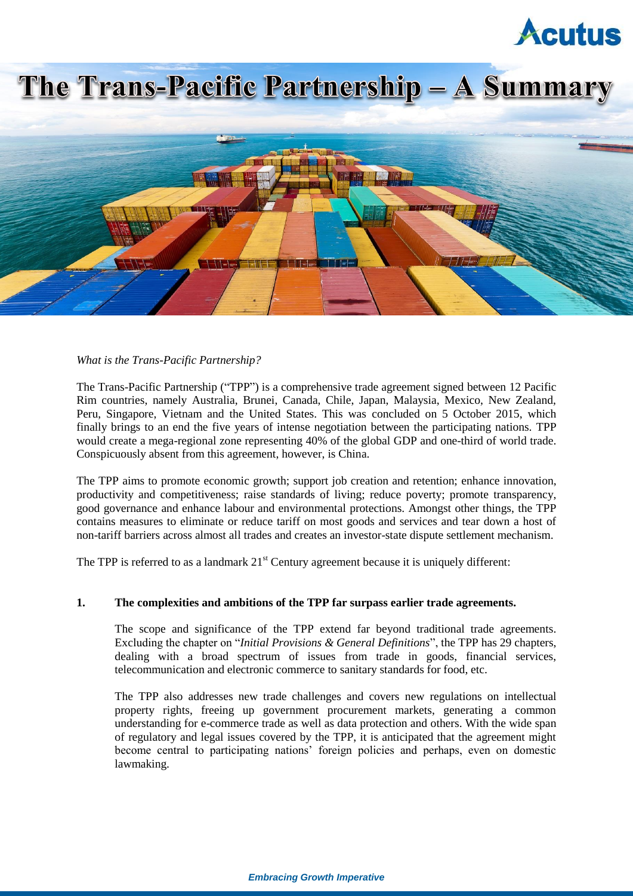# **Acutus**

# The Trans-Pacific Partnership - A Summary



# *What is the Trans-Pacific Partnership?*

The Trans-Pacific Partnership ("TPP") is a comprehensive trade agreement signed between 12 Pacific Rim countries, namely Australia, Brunei, Canada, Chile, Japan, Malaysia, Mexico, New Zealand, Peru, Singapore, Vietnam and the United States. This was concluded on 5 October 2015, which finally brings to an end the five years of intense negotiation between the participating nations. TPP would create a mega-regional zone representing 40% of the global GDP and one-third of world trade. Conspicuously absent from this agreement, however, is China.

The TPP aims to promote economic growth; support job creation and retention; enhance innovation, productivity and competitiveness; raise standards of living; reduce poverty; promote transparency, good governance and enhance labour and environmental protections. Amongst other things, the TPP contains measures to eliminate or reduce tariff on most goods and services and tear down a host of non-tariff barriers across almost all trades and creates an investor-state dispute settlement mechanism.

The TPP is referred to as a landmark  $21<sup>st</sup>$  Century agreement because it is uniquely different:

# **1. The complexities and ambitions of the TPP far surpass earlier trade agreements.**

The scope and significance of the TPP extend far beyond traditional trade agreements. Excluding the chapter on "*Initial Provisions & General Definitions*", the TPP has 29 chapters, dealing with a broad spectrum of issues from trade in goods, financial services, telecommunication and electronic commerce to sanitary standards for food, etc.

The TPP also addresses new trade challenges and covers new regulations on intellectual property rights, freeing up government procurement markets, generating a common understanding for e-commerce trade as well as data protection and others. With the wide span of regulatory and legal issues covered by the TPP, it is anticipated that the agreement might become central to participating nations' foreign policies and perhaps, even on domestic lawmaking.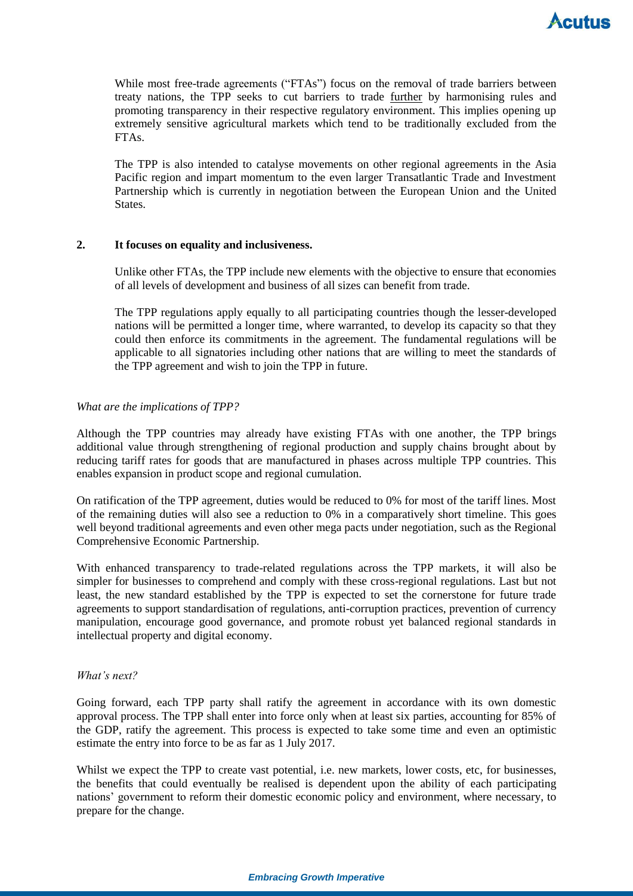While most free-trade agreements ("FTAs") focus on the removal of trade barriers between treaty nations, the TPP seeks to cut barriers to trade further by harmonising rules and promoting transparency in their respective regulatory environment. This implies opening up extremely sensitive agricultural markets which tend to be traditionally excluded from the FTAs.

The TPP is also intended to catalyse movements on other regional agreements in the Asia Pacific region and impart momentum to the even larger Transatlantic Trade and Investment Partnership which is currently in negotiation between the European Union and the United States.

### **2. It focuses on equality and inclusiveness.**

Unlike other FTAs, the TPP include new elements with the objective to ensure that economies of all levels of development and business of all sizes can benefit from trade.

The TPP regulations apply equally to all participating countries though the lesser-developed nations will be permitted a longer time, where warranted, to develop its capacity so that they could then enforce its commitments in the agreement. The fundamental regulations will be applicable to all signatories including other nations that are willing to meet the standards of the TPP agreement and wish to join the TPP in future.

### *What are the implications of TPP?*

Although the TPP countries may already have existing FTAs with one another, the TPP brings additional value through strengthening of regional production and supply chains brought about by reducing tariff rates for goods that are manufactured in phases across multiple TPP countries. This enables expansion in product scope and regional cumulation.

On ratification of the TPP agreement, duties would be reduced to 0% for most of the tariff lines. Most of the remaining duties will also see a reduction to 0% in a comparatively short timeline. This goes well beyond traditional agreements and even other mega pacts under negotiation, such as the Regional Comprehensive Economic Partnership.

With enhanced transparency to trade-related regulations across the TPP markets, it will also be simpler for businesses to comprehend and comply with these cross-regional regulations. Last but not least, the new standard established by the TPP is expected to set the cornerstone for future trade agreements to support standardisation of regulations, anti-corruption practices, prevention of currency manipulation, encourage good governance, and promote robust yet balanced regional standards in intellectual property and digital economy.

#### *What's next?*

Going forward, each TPP party shall ratify the agreement in accordance with its own domestic approval process. The TPP shall enter into force only when at least six parties, accounting for 85% of the GDP, ratify the agreement. This process is expected to take some time and even an optimistic estimate the entry into force to be as far as 1 July 2017.

Whilst we expect the TPP to create vast potential, i.e. new markets, lower costs, etc, for businesses, the benefits that could eventually be realised is dependent upon the ability of each participating nations' government to reform their domestic economic policy and environment, where necessary, to prepare for the change.